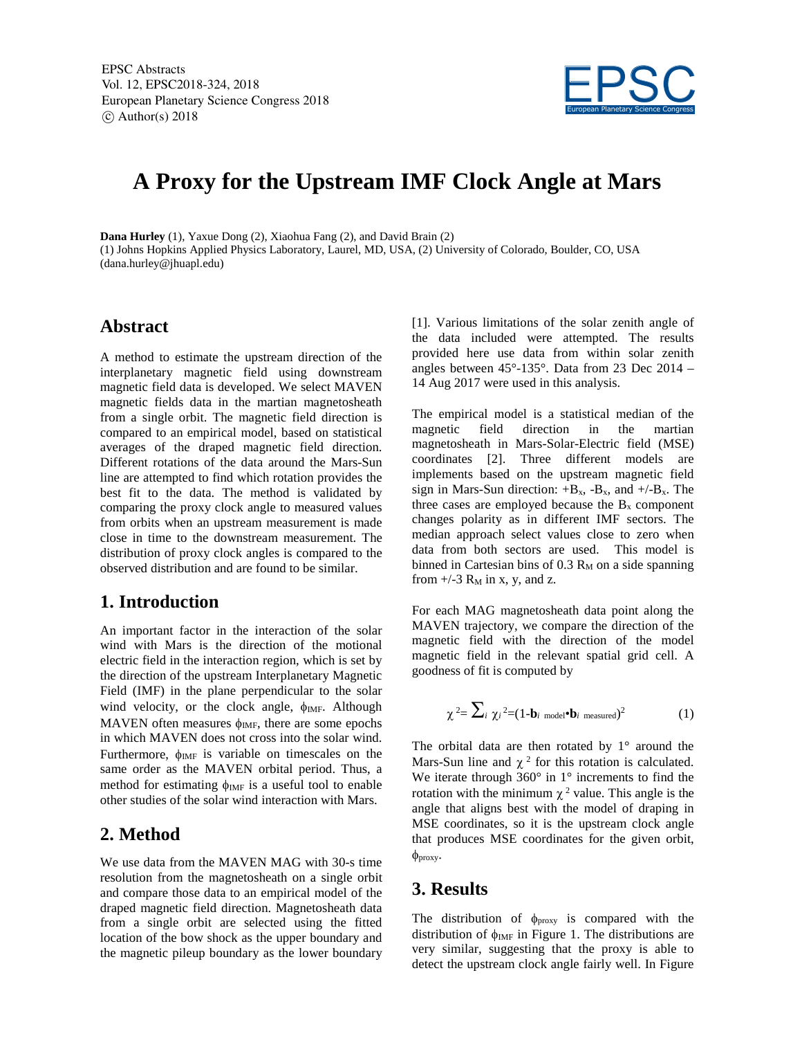

# **A Proxy for the Upstream IMF Clock Angle at Mars**

**Dana Hurley** (1), Yaxue Dong (2), Xiaohua Fang (2), and David Brain (2) (1) Johns Hopkins Applied Physics Laboratory, Laurel, MD, USA, (2) University of Colorado, Boulder, CO, USA (dana.hurley@jhuapl.edu)

#### **Abstract**

A method to estimate the upstream direction of the interplanetary magnetic field using downstream magnetic field data is developed. We select MAVEN magnetic fields data in the martian magnetosheath from a single orbit. The magnetic field direction is compared to an empirical model, based on statistical averages of the draped magnetic field direction. Different rotations of the data around the Mars-Sun line are attempted to find which rotation provides the best fit to the data. The method is validated by comparing the proxy clock angle to measured values from orbits when an upstream measurement is made close in time to the downstream measurement. The distribution of proxy clock angles is compared to the observed distribution and are found to be similar.

## **1. Introduction**

An important factor in the interaction of the solar wind with Mars is the direction of the motional electric field in the interaction region, which is set by the direction of the upstream Interplanetary Magnetic Field (IMF) in the plane perpendicular to the solar wind velocity, or the clock angle,  $\phi_{IMF}$ . Although MAVEN often measures  $\phi_{\text{IMF}}$ , there are some epochs in which MAVEN does not cross into the solar wind. Furthermore,  $\phi_{\text{IMF}}$  is variable on timescales on the same order as the MAVEN orbital period. Thus, a method for estimating  $\phi_{\text{IMF}}$  is a useful tool to enable other studies of the solar wind interaction with Mars.

## **2. Method**

We use data from the MAVEN MAG with 30-s time resolution from the magnetosheath on a single orbit and compare those data to an empirical model of the draped magnetic field direction. Magnetosheath data from a single orbit are selected using the fitted location of the bow shock as the upper boundary and the magnetic pileup boundary as the lower boundary [1]. Various limitations of the solar zenith angle of the data included were attempted. The results provided here use data from within solar zenith angles between 45°-135°. Data from 23 Dec 2014 – 14 Aug 2017 were used in this analysis.

The empirical model is a statistical median of the magnetic field direction in the martian magnetosheath in Mars-Solar-Electric field (MSE) coordinates [2]. Three different models are implements based on the upstream magnetic field sign in Mars-Sun direction:  $+B_x$ ,  $-B_x$ , and  $+/-B_x$ . The three cases are employed because the  $B<sub>x</sub>$  component changes polarity as in different IMF sectors. The median approach select values close to zero when data from both sectors are used. This model is binned in Cartesian bins of  $0.3 R_M$  on a side spanning from  $+/3$  R<sub>M</sub> in x, y, and z.

For each MAG magnetosheath data point along the MAVEN trajectory, we compare the direction of the magnetic field with the direction of the model magnetic field in the relevant spatial grid cell. A goodness of fit is computed by

$$
\chi^2 = \sum_i \chi_i^2 = (1 - \mathbf{b}_i \text{ model} \cdot \mathbf{b}_i \text{ measured})^2
$$
 (1)

The orbital data are then rotated by  $1^\circ$  around the Mars-Sun line and  $\chi^2$  for this rotation is calculated. We iterate through  $360^\circ$  in 1° increments to find the rotation with the minimum  $\chi^2$  value. This angle is the angle that aligns best with the model of draping in MSE coordinates, so it is the upstream clock angle that produces MSE coordinates for the given orbit,  $\phi$ <sub>proxy</sub>.

## **3. Results**

The distribution of  $\phi_{\text{proxy}}$  is compared with the distribution of  $\phi_{IMF}$  in Figure 1. The distributions are very similar, suggesting that the proxy is able to detect the upstream clock angle fairly well. In Figure